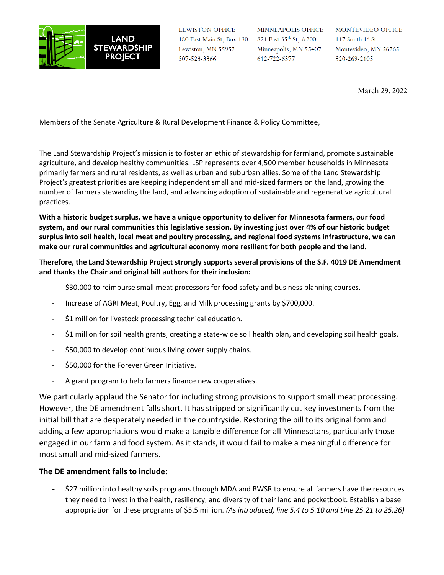

LEWISTON OFFICE 180 East Main St, Box 130 Lewiston, MN 55952 507-523-3366

MINNEAPOLIS OFFICE 821 East 35th St, #200 Minneapolis, MN 55407 612-722-6377

MONTEVIDEO OFFICE  $117$  South  $1^{\rm st}$  St Montevideo, MN 56265 320-269-2105

March 29. 2022

Members of the Senate Agriculture & Rural Development Finance & Policy Committee,

The Land Stewardship Project's mission is to foster an ethic of stewardship for farmland, promote sustainable agriculture, and develop healthy communities. LSP represents over 4,500 member households in Minnesota – primarily farmers and rural residents, as well as urban and suburban allies. Some of the Land Stewardship Project's greatest priorities are keeping independent small and mid-sized farmers on the land, growing the number of farmers stewarding the land, and advancing adoption of sustainable and regenerative agricultural practices.

**With a historic budget surplus, we have a unique opportunity to deliver for Minnesota farmers, our food system, and our rural communities this legislative session. By investing just over 4% of our historic budget surplus into soil health, local meat and poultry processing, and regional food systems infrastructure, we can make our rural communities and agricultural economy more resilient for both people and the land.**

## **Therefore, the Land Stewardship Project strongly supports several provisions of the S.F. 4019 DE Amendment and thanks the Chair and original bill authors for their inclusion:**

- \$30,000 to reimburse small meat processors for food safety and business planning courses.
- Increase of AGRI Meat, Poultry, Egg, and Milk processing grants by \$700,000.
- \$1 million for livestock processing technical education.
- \$1 million for soil health grants, creating a state-wide soil health plan, and developing soil health goals.
- \$50,000 to develop continuous living cover supply chains.
- \$50,000 for the Forever Green Initiative.
- A grant program to help farmers finance new cooperatives.

We particularly applaud the Senator for including strong provisions to support small meat processing. However, the DE amendment falls short. It has stripped or significantly cut key investments from the initial bill that are desperately needed in the countryside. Restoring the bill to its original form and adding a few appropriations would make a tangible difference for all Minnesotans, particularly those engaged in our farm and food system. As it stands, it would fail to make a meaningful difference for most small and mid-sized farmers.

## **The DE amendment fails to include:**

- \$27 million into healthy soils programs through MDA and BWSR to ensure all farmers have the resources they need to invest in the health, resiliency, and diversity of their land and pocketbook. Establish a base appropriation for these programs of \$5.5 million. *(As introduced, line 5.4 to 5.10 and Line 25.21 to 25.26)*